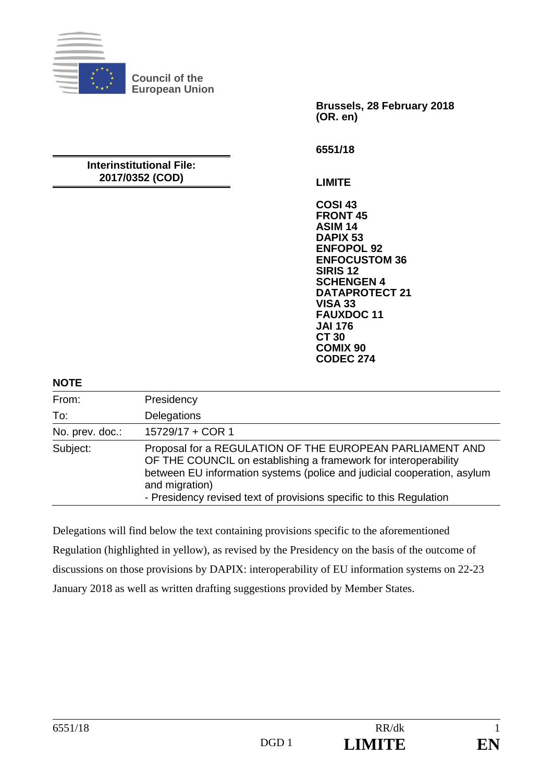

**Council of the European Union** 

> **Brussels, 28 February 2018 (OR. en)**

**6551/18** 

#### **Interinstitutional File: 2017/0352 (COD)**

**LIMITE** 

**COSI 43 FRONT 45 ASIM 14 DAPIX 53 ENFOPOL 92 ENFOCUSTOM 36 SIRIS 12 SCHENGEN 4 DATAPROTECT 21 VISA 33 FAUXDOC 11 JAI 176 CT 30 COMIX 90 CODEC 274**

### **NOTE**

| From:           | Presidency                                                                                                                                                                                                                                                                                      |
|-----------------|-------------------------------------------------------------------------------------------------------------------------------------------------------------------------------------------------------------------------------------------------------------------------------------------------|
| To:             | Delegations                                                                                                                                                                                                                                                                                     |
| No. prev. doc.: | 15729/17 + COR 1                                                                                                                                                                                                                                                                                |
| Subject:        | Proposal for a REGULATION OF THE EUROPEAN PARLIAMENT AND<br>OF THE COUNCIL on establishing a framework for interoperability<br>between EU information systems (police and judicial cooperation, asylum<br>and migration)<br>- Presidency revised text of provisions specific to this Regulation |

Delegations will find below the text containing provisions specific to the aforementioned Regulation (highlighted in yellow), as revised by the Presidency on the basis of the outcome of discussions on those provisions by DAPIX: interoperability of EU information systems on 22-23 January 2018 as well as written drafting suggestions provided by Member States.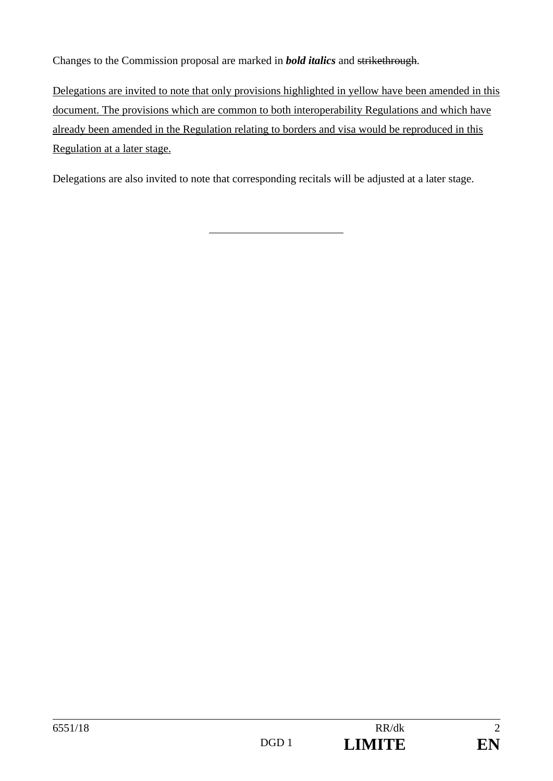Changes to the Commission proposal are marked in *bold italics* and strikethrough.

Delegations are invited to note that only provisions highlighted in yellow have been amended in this document. The provisions which are common to both interoperability Regulations and which have already been amended in the Regulation relating to borders and visa would be reproduced in this Regulation at a later stage.

Delegations are also invited to note that corresponding recitals will be adjusted at a later stage.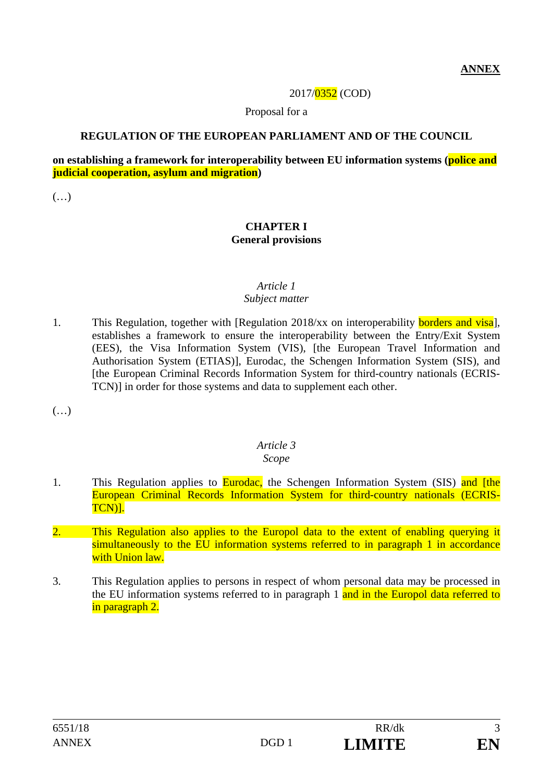### 2017/0352 (COD)

Proposal for a

### **REGULATION OF THE EUROPEAN PARLIAMENT AND OF THE COUNCIL**

## **on establishing a framework for interoperability between EU information systems (police and judicial cooperation, asylum and migration)**

(…)

#### **CHAPTER I General provisions**

## *Article 1*

### *Subject matter*

1. This Regulation, together with [Regulation 2018/xx on interoperability **borders and visa**], establishes a framework to ensure the interoperability between the Entry/Exit System (EES), the Visa Information System (VIS), [the European Travel Information and Authorisation System (ETIAS)], Eurodac, the Schengen Information System (SIS), and [the European Criminal Records Information System for third-country nationals (ECRIS-TCN)] in order for those systems and data to supplement each other.

 $(\ldots)$ 

# *Article 3*

## *Scope*

- 1. This Regulation applies to **Eurodac**, the Schengen Information System (SIS) and [the European Criminal Records Information System for third-country nationals (ECRIS-TCN)].
- 2. This Regulation also applies to the Europol data to the extent of enabling querying it simultaneously to the EU information systems referred to in paragraph 1 in accordance with Union law.
- 3. This Regulation applies to persons in respect of whom personal data may be processed in the EU information systems referred to in paragraph 1 and in the Europol data referred to in paragraph 2.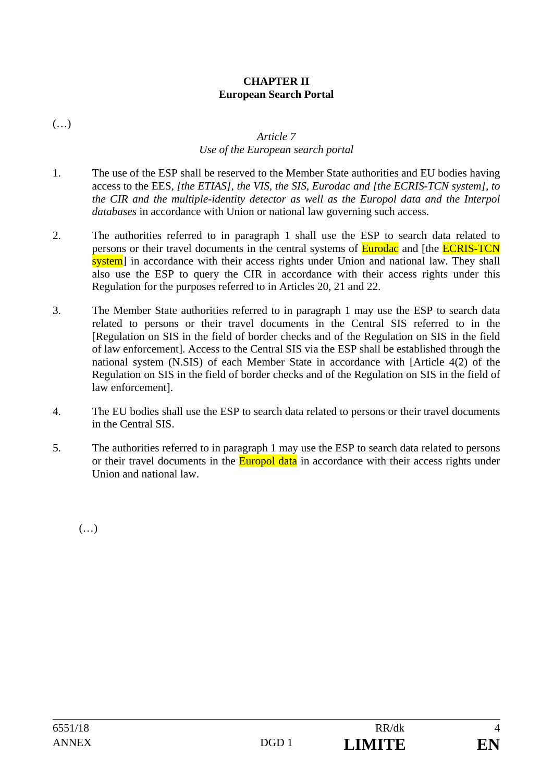## **CHAPTER II European Search Portal**

(…)

#### *Article 7 Use of the European search portal*

- 1. The use of the ESP shall be reserved to the Member State authorities and EU bodies having access to the EES*, [the ETIAS], the VIS, the SIS, Eurodac and [the ECRIS-TCN system], to the CIR and the multiple-identity detector as well as the Europol data and the Interpol databases* in accordance with Union or national law governing such access.
- 2. The authorities referred to in paragraph 1 shall use the ESP to search data related to persons or their travel documents in the central systems of **Eurodac** and [the **ECRIS-TCN** system] in accordance with their access rights under Union and national law. They shall also use the ESP to query the CIR in accordance with their access rights under this Regulation for the purposes referred to in Articles 20, 21 and 22.
- 3. The Member State authorities referred to in paragraph 1 may use the ESP to search data related to persons or their travel documents in the Central SIS referred to in the [Regulation on SIS in the field of border checks and of the Regulation on SIS in the field of law enforcement]. Access to the Central SIS via the ESP shall be established through the national system (N.SIS) of each Member State in accordance with [Article 4(2) of the Regulation on SIS in the field of border checks and of the Regulation on SIS in the field of law enforcement].
- 4. The EU bodies shall use the ESP to search data related to persons or their travel documents in the Central SIS.
- 5. The authorities referred to in paragraph 1 may use the ESP to search data related to persons or their travel documents in the **Europol data** in accordance with their access rights under Union and national law.

 $(\ldots)$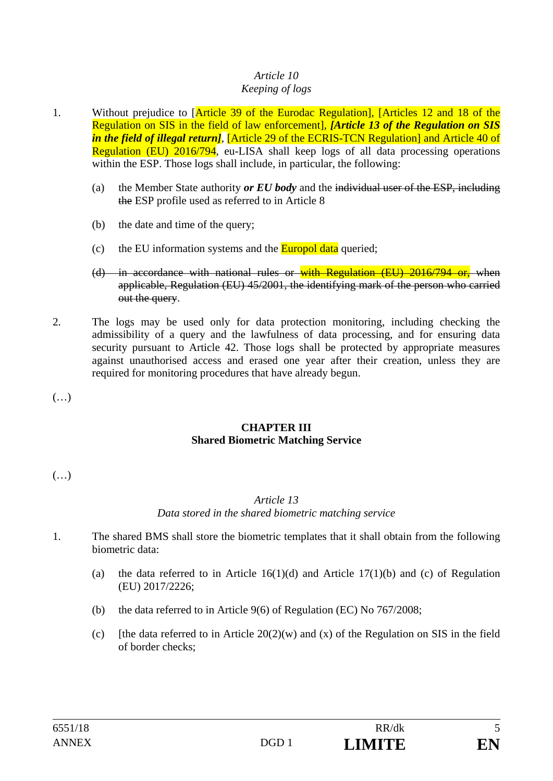#### *Article 10 Keeping of logs*

- 1. Without prejudice to [Article 39 of the Eurodac Regulation], [Articles 12 and 18 of the Regulation on SIS in the field of law enforcement], *[Article 13 of the Regulation on SIS in the field of illegal return]*, [Article 29 of the ECRIS-TCN Regulation] and Article 40 of Regulation (EU) 2016/794, eu-LISA shall keep logs of all data processing operations within the ESP. Those logs shall include, in particular, the following:
	- (a) the Member State authority *or EU body* and the individual user of the ESP, including the ESP profile used as referred to in Article 8
	- (b) the date and time of the query;
	- (c) the EU information systems and the  $\frac{Furopol data}{\text{queried}}$ ;
	- (d) in accordance with national rules or with Regulation (EU) 2016/794 or, when applicable, Regulation (EU) 45/2001, the identifying mark of the person who carried out the query.
- 2. The logs may be used only for data protection monitoring, including checking the admissibility of a query and the lawfulness of data processing, and for ensuring data security pursuant to Article 42. Those logs shall be protected by appropriate measures against unauthorised access and erased one year after their creation, unless they are required for monitoring procedures that have already begun.
- (…)

## **CHAPTER III Shared Biometric Matching Service**

(…)

# *Article 13*

# *Data stored in the shared biometric matching service*

- 1. The shared BMS shall store the biometric templates that it shall obtain from the following biometric data:
	- (a) the data referred to in Article  $16(1)(d)$  and Article 17(1)(b) and (c) of Regulation (EU) 2017/2226;
	- (b) the data referred to in Article 9(6) of Regulation (EC) No 767/2008;
	- (c) [the data referred to in Article  $20(2)(w)$  and (x) of the Regulation on SIS in the field of border checks;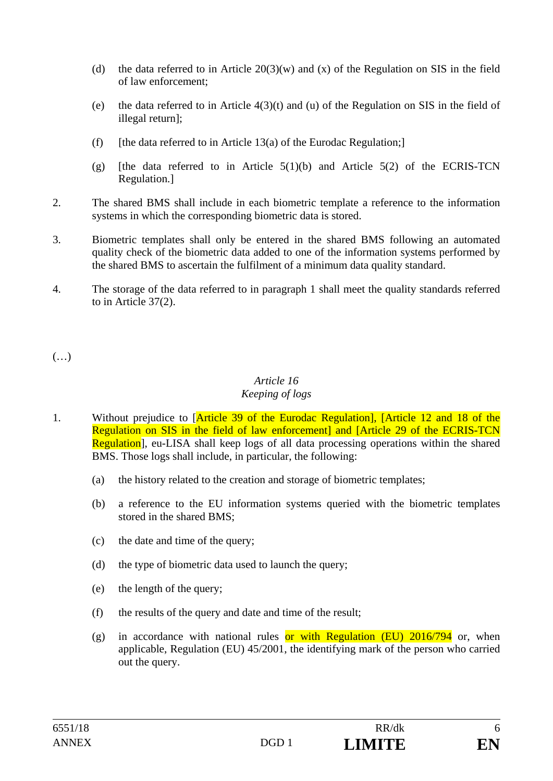- (d) the data referred to in Article  $20(3)(w)$  and (x) of the Regulation on SIS in the field of law enforcement;
- (e) the data referred to in Article 4(3)(t) and (u) of the Regulation on SIS in the field of illegal return];
- (f) [the data referred to in Article 13(a) of the Eurodac Regulation;]
- (g) [the data referred to in Article  $5(1)(b)$  and Article  $5(2)$  of the ECRIS-TCN Regulation.]
- 2. The shared BMS shall include in each biometric template a reference to the information systems in which the corresponding biometric data is stored.
- 3. Biometric templates shall only be entered in the shared BMS following an automated quality check of the biometric data added to one of the information systems performed by the shared BMS to ascertain the fulfilment of a minimum data quality standard.
- 4. The storage of the data referred to in paragraph 1 shall meet the quality standards referred to in Article 37(2).

(…)

## *Article 16 Keeping of logs*

- 1. Without prejudice to [Article 39 of the Eurodac Regulation], [Article 12 and 18 of the Regulation on SIS in the field of law enforcement] and [Article 29 of the ECRIS-TCN Regulation, eu-LISA shall keep logs of all data processing operations within the shared BMS. Those logs shall include, in particular, the following:
	- (a) the history related to the creation and storage of biometric templates;
	- (b) a reference to the EU information systems queried with the biometric templates stored in the shared BMS;
	- (c) the date and time of the query;
	- (d) the type of biometric data used to launch the query;
	- (e) the length of the query;
	- (f) the results of the query and date and time of the result;
	- (g) in accordance with national rules or with Regulation (EU)  $2016/794$  or, when applicable, Regulation (EU) 45/2001, the identifying mark of the person who carried out the query.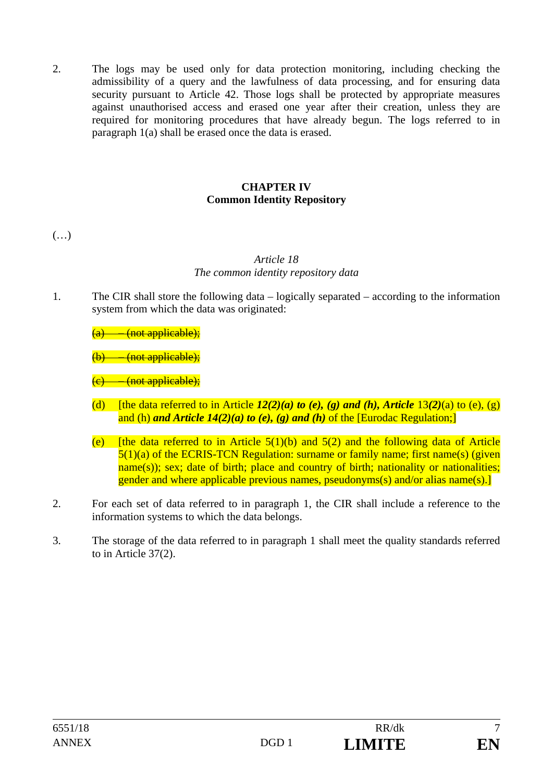2. The logs may be used only for data protection monitoring, including checking the admissibility of a query and the lawfulness of data processing, and for ensuring data security pursuant to Article 42. Those logs shall be protected by appropriate measures against unauthorised access and erased one year after their creation, unless they are required for monitoring procedures that have already begun. The logs referred to in paragraph 1(a) shall be erased once the data is erased.

# **CHAPTER IV Common Identity Repository**

 $(\ldots)$ 

## *Article 18 The common identity repository data*

1. The CIR shall store the following data – logically separated – according to the information system from which the data was originated:

 $(a)$  (not applicable);

(not applicable);

 $(c)$  (not applicable);

- (d) [the data referred to in Article  $I2(2)(a)$  to (e), (g) and (h), Article  $13(2)(a)$  to (e), (g) and (h) *and Article 14(2)(a) to (e), (g) and (h)* of the [Eurodac Regulation;]
- (e) Ithe data referred to in Article  $5(1)(b)$  and  $5(2)$  and the following data of Article 5(1)(a) of the ECRIS-TCN Regulation: surname or family name; first name(s) (given name(s)); sex; date of birth; place and country of birth; nationality or nationalities; gender and where applicable previous names, pseudonyms(s) and/or alias name(s).]
- 2. For each set of data referred to in paragraph 1, the CIR shall include a reference to the information systems to which the data belongs.
- 3. The storage of the data referred to in paragraph 1 shall meet the quality standards referred to in Article 37(2).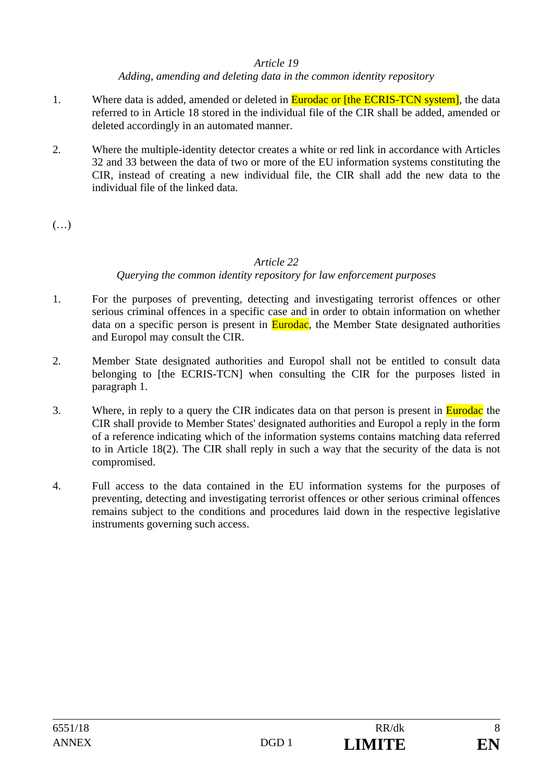### *Article 19*

*Adding, amending and deleting data in the common identity repository* 

- 1. Where data is added, amended or deleted in **Eurodac or [the ECRIS-TCN system]**, the data referred to in Article 18 stored in the individual file of the CIR shall be added, amended or deleted accordingly in an automated manner.
- 2. Where the multiple-identity detector creates a white or red link in accordance with Articles 32 and 33 between the data of two or more of the EU information systems constituting the CIR, instead of creating a new individual file, the CIR shall add the new data to the individual file of the linked data.

(…)

## *Article 22*

## *Querying the common identity repository for law enforcement purposes*

- 1. For the purposes of preventing, detecting and investigating terrorist offences or other serious criminal offences in a specific case and in order to obtain information on whether data on a specific person is present in **Eurodac**, the Member State designated authorities and Europol may consult the CIR.
- 2. Member State designated authorities and Europol shall not be entitled to consult data belonging to [the ECRIS-TCN] when consulting the CIR for the purposes listed in paragraph 1.
- 3. Where, in reply to a query the CIR indicates data on that person is present in **Eurodac** the CIR shall provide to Member States' designated authorities and Europol a reply in the form of a reference indicating which of the information systems contains matching data referred to in Article 18(2). The CIR shall reply in such a way that the security of the data is not compromised.
- 4. Full access to the data contained in the EU information systems for the purposes of preventing, detecting and investigating terrorist offences or other serious criminal offences remains subject to the conditions and procedures laid down in the respective legislative instruments governing such access.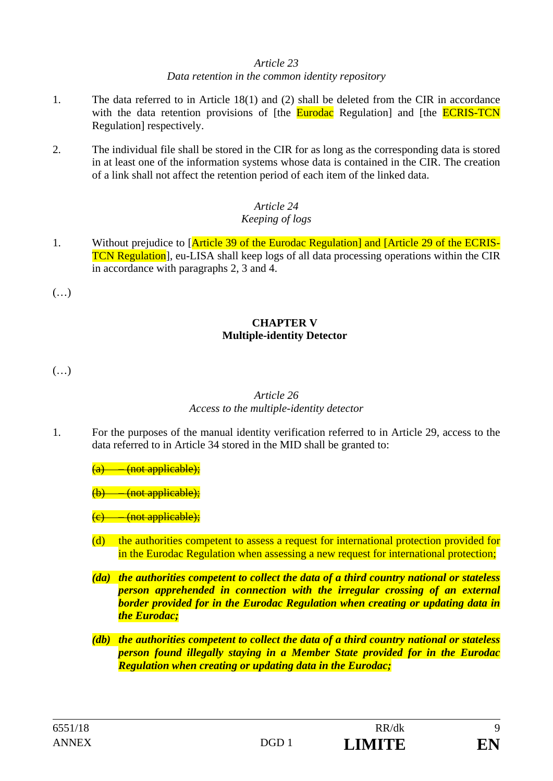#### *Article 23*

#### *Data retention in the common identity repository*

- 1. The data referred to in Article 18(1) and (2) shall be deleted from the CIR in accordance with the data retention provisions of [the **Eurodac** Regulation] and [the **ECRIS-TCN** Regulation] respectively.
- 2. The individual file shall be stored in the CIR for as long as the corresponding data is stored in at least one of the information systems whose data is contained in the CIR. The creation of a link shall not affect the retention period of each item of the linked data.

#### *Article 24 Keeping of logs*

1. Without prejudice to [Article 39 of the Eurodac Regulation] and [Article 29 of the ECRIS-TCN Regulation], eu-LISA shall keep logs of all data processing operations within the CIR in accordance with paragraphs 2, 3 and 4.

 $(\ldots)$ 

# **CHAPTER V Multiple-identity Detector**

(…)

### *Article 26 Access to the multiple-identity detector*

1. For the purposes of the manual identity verification referred to in Article 29, access to the data referred to in Article 34 stored in the MID shall be granted to:

<del>– (not applicable);</del>

<del>- (not applicable);</del>

(not applicable);

- (d) the authorities competent to assess a request for international protection provided for in the Eurodac Regulation when assessing a new request for international protection;
- *(da) the authorities competent to collect the data of a third country national or stateless person apprehended in connection with the irregular crossing of an external border provided for in the Eurodac Regulation when creating or updating data in the Eurodac;*
- *(db) the authorities competent to collect the data of a third country national or stateless person found illegally staying in a Member State provided for in the Eurodac Regulation when creating or updating data in the Eurodac;*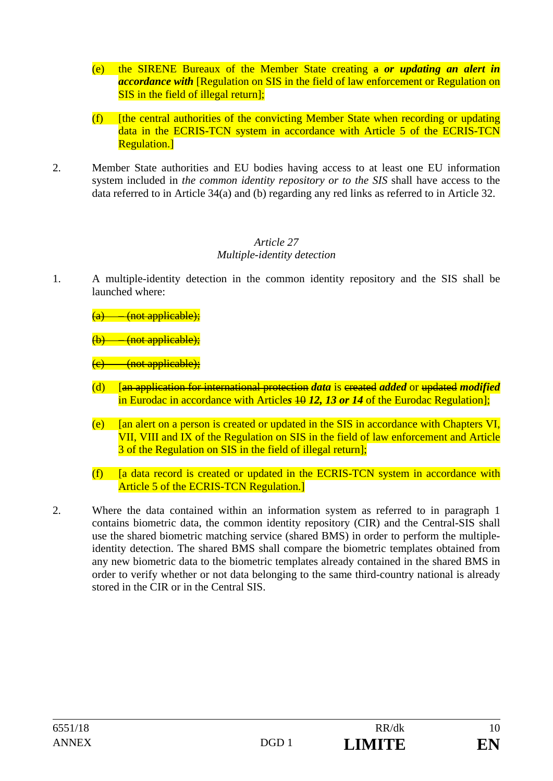- (e) the SIRENE Bureaux of the Member State creating a *or updating an alert in accordance with* [Regulation on SIS in the field of law enforcement or Regulation on SIS in the field of illegal return];
- $(f)$  [the central authorities of the convicting Member State when recording or updating data in the ECRIS-TCN system in accordance with Article 5 of the ECRIS-TCN Regulation.]
- 2. Member State authorities and EU bodies having access to at least one EU information system included in *the common identity repository or to the SIS* shall have access to the data referred to in Article 34(a) and (b) regarding any red links as referred to in Article 32.

## *Article 27 Multiple-identity detection*

- 1. A multiple-identity detection in the common identity repository and the SIS shall be launched where:
	- $(a)$  (not applicable);

<del>– (not applicable);</del>

- <del>(not applicable):</del>
- (d) [an application for international protection *data* is created *added* or updated *modified* in Eurodac in accordance with Articles 40 12, 13 or 14 of the Eurodac Regulation];
- (e) [an alert on a person is created or updated in the SIS in accordance with Chapters VI, VII, VIII and IX of the Regulation on SIS in the field of law enforcement and Article 3 of the Regulation on SIS in the field of illegal return];
- $(f)$  [a data record is created or updated in the ECRIS-TCN system in accordance with Article 5 of the ECRIS-TCN Regulation.]
- 2. Where the data contained within an information system as referred to in paragraph 1 contains biometric data, the common identity repository (CIR) and the Central-SIS shall use the shared biometric matching service (shared BMS) in order to perform the multipleidentity detection. The shared BMS shall compare the biometric templates obtained from any new biometric data to the biometric templates already contained in the shared BMS in order to verify whether or not data belonging to the same third-country national is already stored in the CIR or in the Central SIS.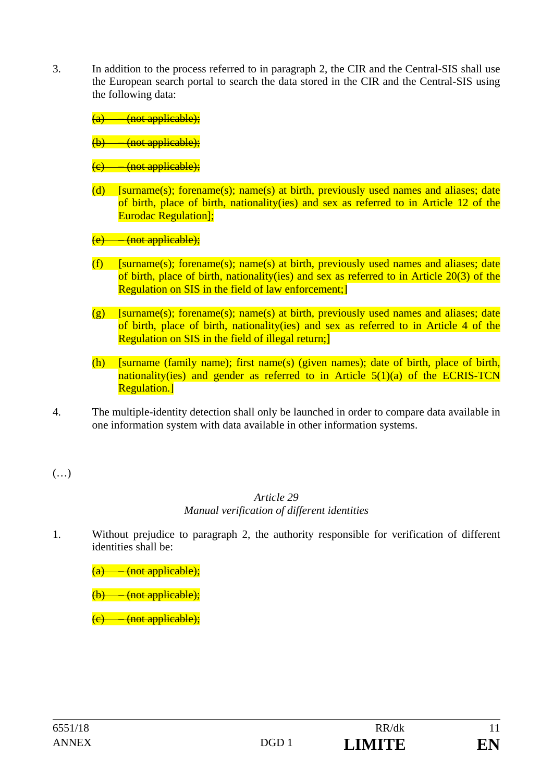3. In addition to the process referred to in paragraph 2, the CIR and the Central-SIS shall use the European search portal to search the data stored in the CIR and the Central-SIS using the following data:

 $(a)$  – (not applicable):

<del>(not applicable);</del>

- $(c)$  (not applicable);
- (d) [surname(s); forename(s); name(s) at birth, previously used names and aliases; date of birth, place of birth, nationality(ies) and sex as referred to in Article 12 of the Eurodac Regulation];

(not applicable);

- (f) [surname(s); forename(s); name(s) at birth, previously used names and aliases; date of birth, place of birth, nationality(ies) and sex as referred to in Article 20(3) of the Regulation on SIS in the field of law enforcement;]
- $(g)$  [surname(s); forename(s); name(s) at birth, previously used names and aliases; date of birth, place of birth, nationality(ies) and sex as referred to in Article 4 of the Regulation on SIS in the field of illegal return;]
- (h) [surname (family name); first name(s) (given names); date of birth, place of birth, nationality(ies) and gender as referred to in Article  $5(1)(a)$  of the ECRIS-TCN Regulation.]
- 4. The multiple-identity detection shall only be launched in order to compare data available in one information system with data available in other information systems.

(…)

### *Article 29 Manual verification of different identities*

1. Without prejudice to paragraph 2, the authority responsible for verification of different identities shall be:

 $(a)$  – (not applicable);

 $(b)$  (not applicable);

 $(c)$  (not applicable);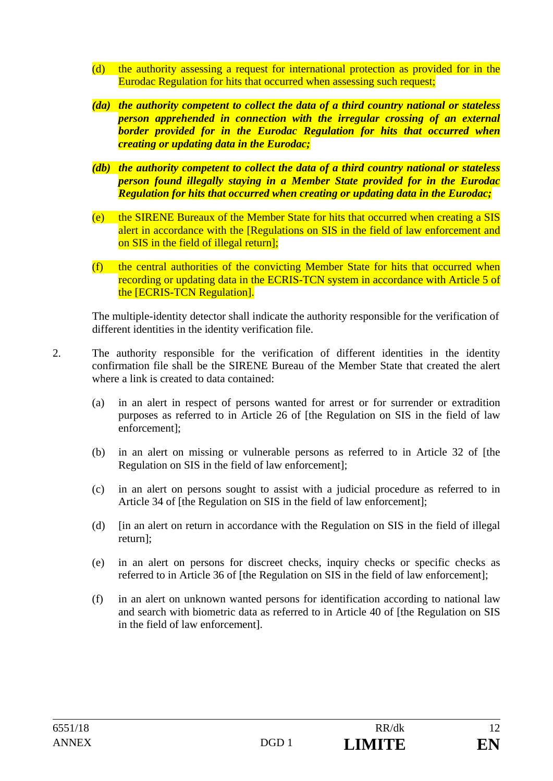- (d) the authority assessing a request for international protection as provided for in the Eurodac Regulation for hits that occurred when assessing such request;
- *(da) the authority competent to collect the data of a third country national or stateless person apprehended in connection with the irregular crossing of an external border provided for in the Eurodac Regulation for hits that occurred when creating or updating data in the Eurodac;*
- *(db) the authority competent to collect the data of a third country national or stateless person found illegally staying in a Member State provided for in the Eurodac Regulation for hits that occurred when creating or updating data in the Eurodac;*
- (e) the SIRENE Bureaux of the Member State for hits that occurred when creating a SIS alert in accordance with the [Regulations on SIS in the field of law enforcement and on SIS in the field of illegal return];
- (f) the central authorities of the convicting Member State for hits that occurred when recording or updating data in the ECRIS-TCN system in accordance with Article 5 of the [ECRIS-TCN Regulation].

The multiple-identity detector shall indicate the authority responsible for the verification of different identities in the identity verification file.

- 2. The authority responsible for the verification of different identities in the identity confirmation file shall be the SIRENE Bureau of the Member State that created the alert where a link is created to data contained:
	- (a) in an alert in respect of persons wanted for arrest or for surrender or extradition purposes as referred to in Article 26 of [the Regulation on SIS in the field of law enforcement];
	- (b) in an alert on missing or vulnerable persons as referred to in Article 32 of [the Regulation on SIS in the field of law enforcement];
	- (c) in an alert on persons sought to assist with a judicial procedure as referred to in Article 34 of [the Regulation on SIS in the field of law enforcement];
	- (d) [in an alert on return in accordance with the Regulation on SIS in the field of illegal return];
	- (e) in an alert on persons for discreet checks, inquiry checks or specific checks as referred to in Article 36 of [the Regulation on SIS in the field of law enforcement];
	- (f) in an alert on unknown wanted persons for identification according to national law and search with biometric data as referred to in Article 40 of [the Regulation on SIS in the field of law enforcement].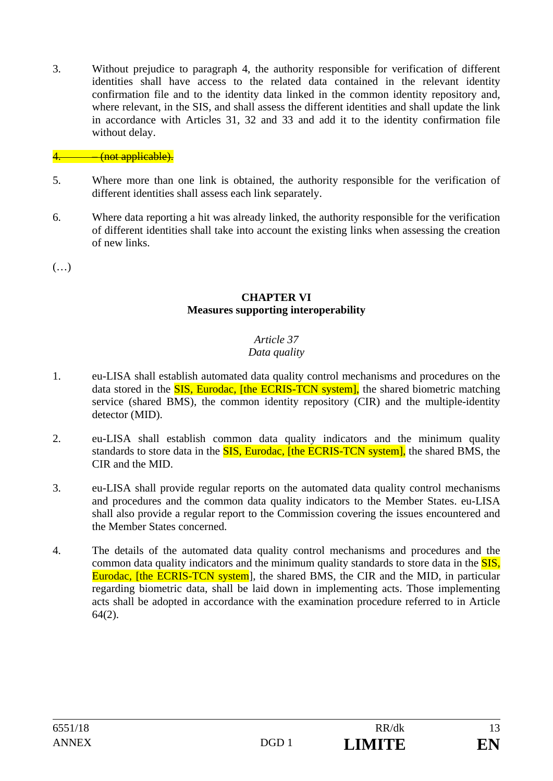3. Without prejudice to paragraph 4, the authority responsible for verification of different identities shall have access to the related data contained in the relevant identity confirmation file and to the identity data linked in the common identity repository and, where relevant, in the SIS, and shall assess the different identities and shall update the link in accordance with Articles 31, 32 and 33 and add it to the identity confirmation file without delay.

## <del>(not applicable).</del>

- 5. Where more than one link is obtained, the authority responsible for the verification of different identities shall assess each link separately.
- 6. Where data reporting a hit was already linked, the authority responsible for the verification of different identities shall take into account the existing links when assessing the creation of new links.

(…)

#### **CHAPTER VI Measures supporting interoperability**

# *Article 37*

## *Data quality*

- 1. eu-LISA shall establish automated data quality control mechanisms and procedures on the data stored in the **SIS, Eurodac, [the ECRIS-TCN system]**, the shared biometric matching service (shared BMS), the common identity repository (CIR) and the multiple-identity detector (MID).
- 2. eu-LISA shall establish common data quality indicators and the minimum quality standards to store data in the **SIS**, Eurodac, [the ECRIS-TCN system], the shared BMS, the CIR and the MID.
- 3. eu-LISA shall provide regular reports on the automated data quality control mechanisms and procedures and the common data quality indicators to the Member States. eu-LISA shall also provide a regular report to the Commission covering the issues encountered and the Member States concerned.
- 4. The details of the automated data quality control mechanisms and procedures and the common data quality indicators and the minimum quality standards to store data in the **SIS**. Eurodac, [the ECRIS-TCN system], the shared BMS, the CIR and the MID, in particular regarding biometric data, shall be laid down in implementing acts. Those implementing acts shall be adopted in accordance with the examination procedure referred to in Article 64(2).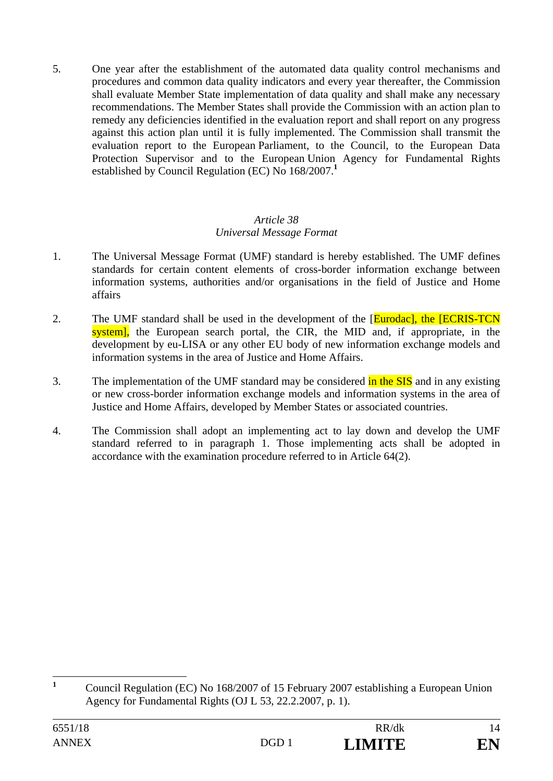5. One year after the establishment of the automated data quality control mechanisms and procedures and common data quality indicators and every year thereafter, the Commission shall evaluate Member State implementation of data quality and shall make any necessary recommendations. The Member States shall provide the Commission with an action plan to remedy any deficiencies identified in the evaluation report and shall report on any progress against this action plan until it is fully implemented. The Commission shall transmit the evaluation report to the European Parliament, to the Council, to the European Data Protection Supervisor and to the European Union Agency for Fundamental Rights established by Council Regulation (EC) No 168/2007.**<sup>1</sup>**

## *Article 38 Universal Message Format*

- 1. The Universal Message Format (UMF) standard is hereby established. The UMF defines standards for certain content elements of cross-border information exchange between information systems, authorities and/or organisations in the field of Justice and Home affairs
- 2. The UMF standard shall be used in the development of the [Eurodac], the [ECRIS-TCN] system], the European search portal, the CIR, the MID and, if appropriate, in the development by eu-LISA or any other EU body of new information exchange models and information systems in the area of Justice and Home Affairs.
- 3. The implementation of the UMF standard may be considered in the SIS and in any existing or new cross-border information exchange models and information systems in the area of Justice and Home Affairs, developed by Member States or associated countries.
- 4. The Commission shall adopt an implementing act to lay down and develop the UMF standard referred to in paragraph 1. Those implementing acts shall be adopted in accordance with the examination procedure referred to in Article 64(2).

 **1** Council Regulation (EC) No 168/2007 of 15 February 2007 establishing a European Union Agency for Fundamental Rights (OJ L 53, 22.2.2007, p. 1).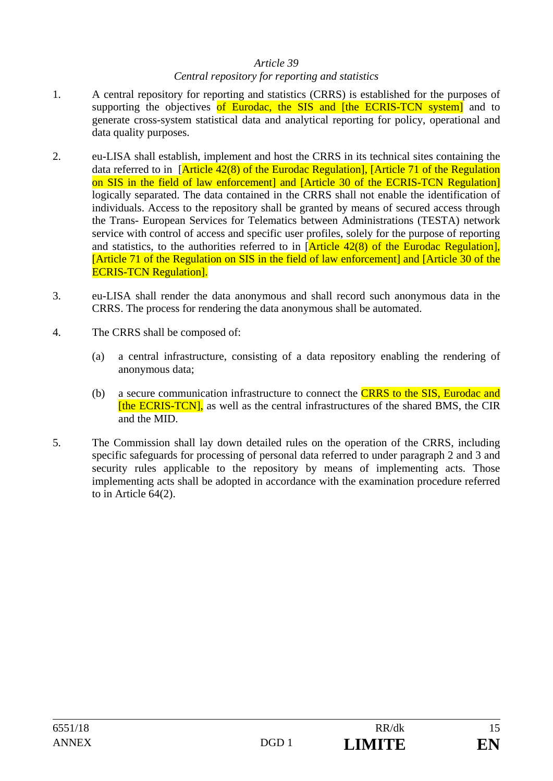#### *Article 39*

## *Central repository for reporting and statistics*

- 1. A central repository for reporting and statistics (CRRS) is established for the purposes of supporting the objectives of Eurodac, the SIS and [the ECRIS-TCN system] and to generate cross-system statistical data and analytical reporting for policy, operational and data quality purposes.
- 2. eu-LISA shall establish, implement and host the CRRS in its technical sites containing the data referred to in [Article 42(8) of the Eurodac Regulation], [Article 71 of the Regulation on SIS in the field of law enforcement] and [Article 30 of the ECRIS-TCN Regulation] logically separated. The data contained in the CRRS shall not enable the identification of individuals. Access to the repository shall be granted by means of secured access through the Trans- European Services for Telematics between Administrations (TESTA) network service with control of access and specific user profiles, solely for the purpose of reporting and statistics, to the authorities referred to in  $[Article 42(8) of the Eurodac Regulation],$ [Article 71 of the Regulation on SIS in the field of law enforcement] and [Article 30 of the ECRIS-TCN Regulation].
- 3. eu-LISA shall render the data anonymous and shall record such anonymous data in the CRRS. The process for rendering the data anonymous shall be automated.
- 4. The CRRS shall be composed of:
	- (a) a central infrastructure, consisting of a data repository enabling the rendering of anonymous data;
	- (b) a secure communication infrastructure to connect the CRRS to the SIS, Eurodac and [the ECRIS-TCN], as well as the central infrastructures of the shared BMS, the CIR and the MID.
- 5. The Commission shall lay down detailed rules on the operation of the CRRS, including specific safeguards for processing of personal data referred to under paragraph 2 and 3 and security rules applicable to the repository by means of implementing acts. Those implementing acts shall be adopted in accordance with the examination procedure referred to in Article 64(2).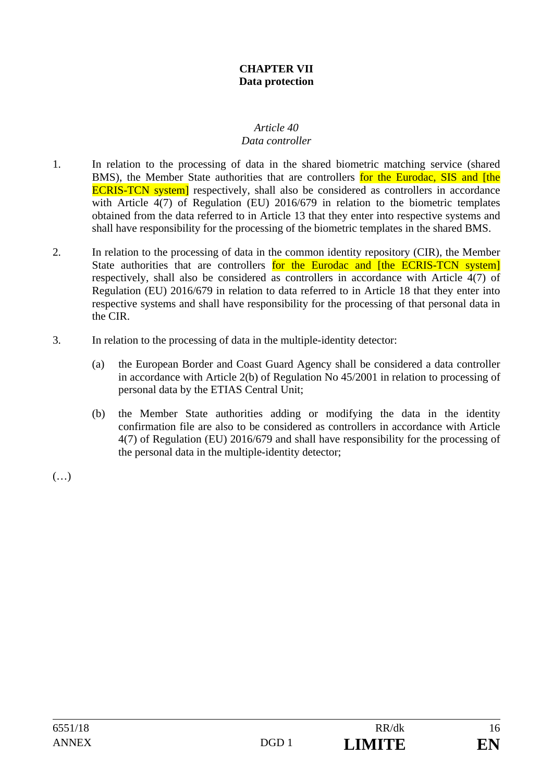## **CHAPTER VII Data protection**

#### *Article 40 Data controller*

- 1. In relation to the processing of data in the shared biometric matching service (shared BMS), the Member State authorities that are controllers for the Eurodac, SIS and [the ECRIS-TCN system] respectively, shall also be considered as controllers in accordance with Article 4(7) of Regulation (EU) 2016/679 in relation to the biometric templates obtained from the data referred to in Article 13 that they enter into respective systems and shall have responsibility for the processing of the biometric templates in the shared BMS.
- 2. In relation to the processing of data in the common identity repository (CIR), the Member State authorities that are controllers for the Eurodac and [the ECRIS-TCN system] respectively, shall also be considered as controllers in accordance with Article 4(7) of Regulation (EU) 2016/679 in relation to data referred to in Article 18 that they enter into respective systems and shall have responsibility for the processing of that personal data in the CIR.
- 3. In relation to the processing of data in the multiple-identity detector:
	- (a) the European Border and Coast Guard Agency shall be considered a data controller in accordance with Article 2(b) of Regulation No 45/2001 in relation to processing of personal data by the ETIAS Central Unit;
	- (b) the Member State authorities adding or modifying the data in the identity confirmation file are also to be considered as controllers in accordance with Article 4(7) of Regulation (EU) 2016/679 and shall have responsibility for the processing of the personal data in the multiple-identity detector;

 $(\ldots)$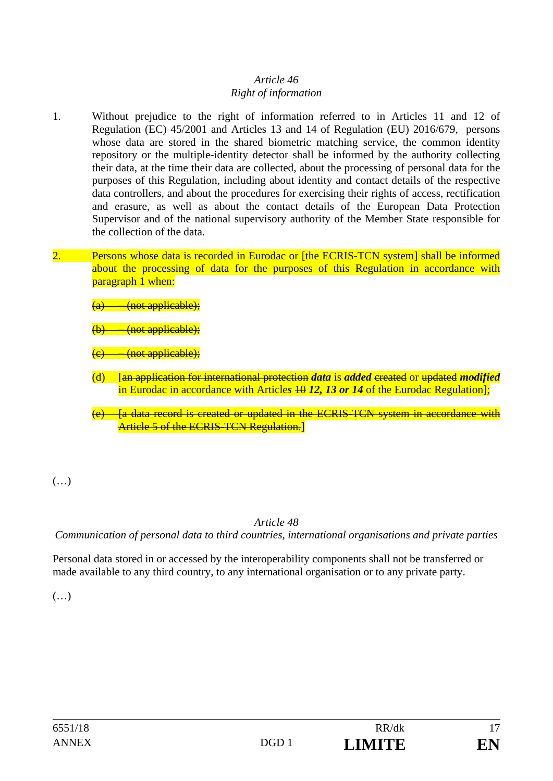## *Article 46 Right of information*

- 1. Without prejudice to the right of information referred to in Articles 11 and 12 of Regulation (EC) 45/2001 and Articles 13 and 14 of Regulation (EU) 2016/679, persons whose data are stored in the shared biometric matching service, the common identity repository or the multiple-identity detector shall be informed by the authority collecting their data, at the time their data are collected, about the processing of personal data for the purposes of this Regulation, including about identity and contact details of the respective data controllers, and about the procedures for exercising their rights of access, rectification and erasure, as well as about the contact details of the European Data Protection Supervisor and of the national supervisory authority of the Member State responsible for the collection of the data.
- 2. Persons whose data is recorded in Eurodac or [the ECRIS-TCN system] shall be informed about the processing of data for the purposes of this Regulation in accordance with paragraph 1 when:

(not applicable);

(not applicable);

(not applicable);

- (d) [an application for international protection *data* is *added* created or updated *modified* in Eurodac in accordance with Articles 40 12, 13 or 14 of the Eurodac Regulation];
- $(e)$  [a data record is created or updated in the ECRIS-TCN system in accordance with Article 5 of the ECRIS-TCN Regulation.]

(…)

# *Article 48*

*Communication of personal data to third countries, international organisations and private parties* 

Personal data stored in or accessed by the interoperability components shall not be transferred or made available to any third country, to any international organisation or to any private party.

 $(\ldots)$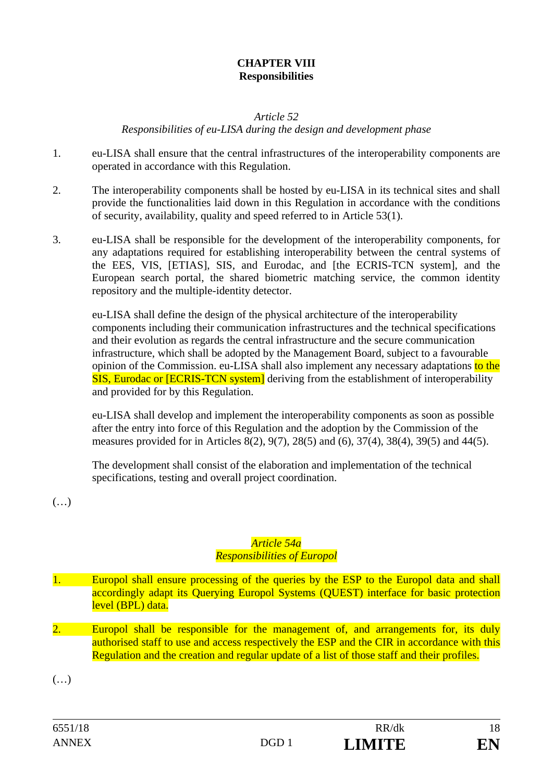## **CHAPTER VIII Responsibilities**

#### *Article 52*

*Responsibilities of eu-LISA during the design and development phase* 

- 1. eu-LISA shall ensure that the central infrastructures of the interoperability components are operated in accordance with this Regulation.
- 2. The interoperability components shall be hosted by eu-LISA in its technical sites and shall provide the functionalities laid down in this Regulation in accordance with the conditions of security, availability, quality and speed referred to in Article 53(1).
- 3. eu-LISA shall be responsible for the development of the interoperability components, for any adaptations required for establishing interoperability between the central systems of the EES, VIS, [ETIAS], SIS, and Eurodac, and [the ECRIS-TCN system], and the European search portal, the shared biometric matching service, the common identity repository and the multiple-identity detector.

eu-LISA shall define the design of the physical architecture of the interoperability components including their communication infrastructures and the technical specifications and their evolution as regards the central infrastructure and the secure communication infrastructure, which shall be adopted by the Management Board, subject to a favourable opinion of the Commission. eu-LISA shall also implement any necessary adaptations to the SIS, Eurodac or [ECRIS-TCN system] deriving from the establishment of interoperability and provided for by this Regulation.

eu-LISA shall develop and implement the interoperability components as soon as possible after the entry into force of this Regulation and the adoption by the Commission of the measures provided for in Articles 8(2), 9(7), 28(5) and (6), 37(4), 38(4), 39(5) and 44(5).

The development shall consist of the elaboration and implementation of the technical specifications, testing and overall project coordination.

(…)

## *Article 54a Responsibilities of Europol*

- 1. Europol shall ensure processing of the queries by the ESP to the Europol data and shall accordingly adapt its Querying Europol Systems (QUEST) interface for basic protection level (BPL) data.
- 2. Europol shall be responsible for the management of, and arrangements for, its duly authorised staff to use and access respectively the ESP and the CIR in accordance with this Regulation and the creation and regular update of a list of those staff and their profiles.

(…)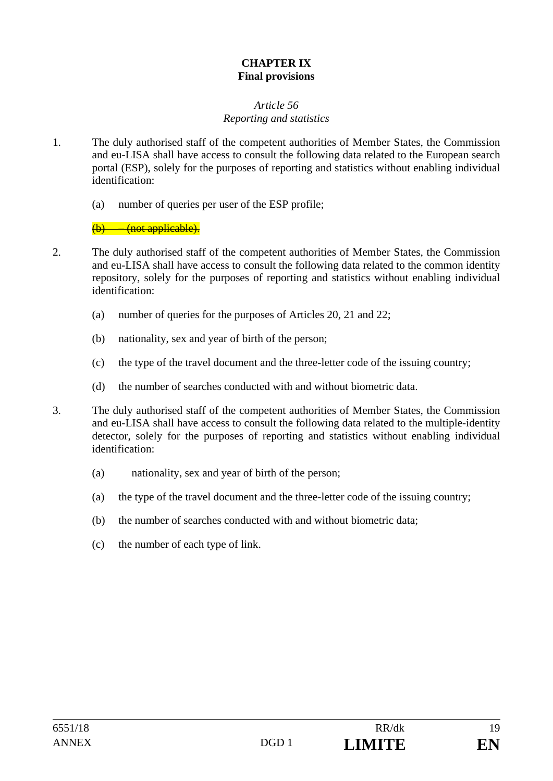## **CHAPTER IX Final provisions**

#### *Article 56 Reporting and statistics*

- 1. The duly authorised staff of the competent authorities of Member States, the Commission and eu-LISA shall have access to consult the following data related to the European search portal (ESP), solely for the purposes of reporting and statistics without enabling individual identification:
	- (a) number of queries per user of the ESP profile;

 $(b)$  – (not applicable).

- 2. The duly authorised staff of the competent authorities of Member States, the Commission and eu-LISA shall have access to consult the following data related to the common identity repository, solely for the purposes of reporting and statistics without enabling individual identification:
	- (a) number of queries for the purposes of Articles 20, 21 and 22;
	- (b) nationality, sex and year of birth of the person;
	- (c) the type of the travel document and the three-letter code of the issuing country;
	- (d) the number of searches conducted with and without biometric data.
- 3. The duly authorised staff of the competent authorities of Member States, the Commission and eu-LISA shall have access to consult the following data related to the multiple-identity detector, solely for the purposes of reporting and statistics without enabling individual identification:
	- (a) nationality, sex and year of birth of the person;
	- (a) the type of the travel document and the three-letter code of the issuing country;
	- (b) the number of searches conducted with and without biometric data;
	- (c) the number of each type of link.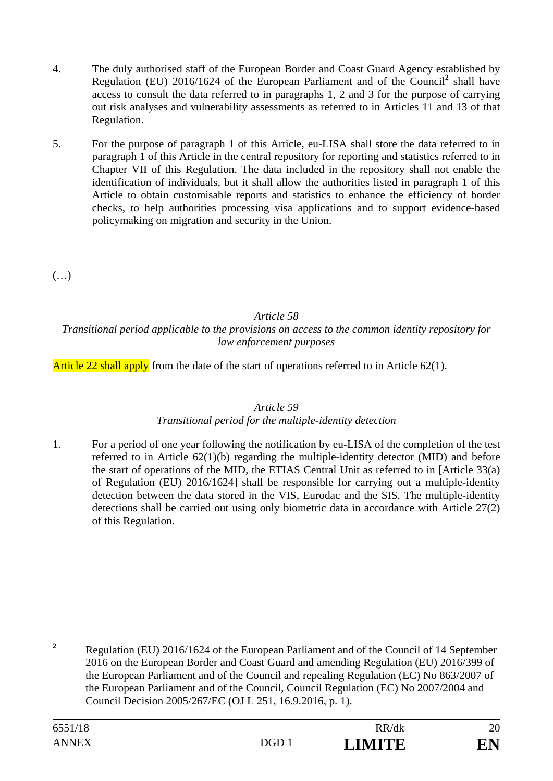- 4. The duly authorised staff of the European Border and Coast Guard Agency established by Regulation (EU) 2016/1624 of the European Parliament and of the Council<sup>2</sup> shall have access to consult the data referred to in paragraphs 1, 2 and 3 for the purpose of carrying out risk analyses and vulnerability assessments as referred to in Articles 11 and 13 of that Regulation.
- 5. For the purpose of paragraph 1 of this Article, eu-LISA shall store the data referred to in paragraph 1 of this Article in the central repository for reporting and statistics referred to in Chapter VII of this Regulation. The data included in the repository shall not enable the identification of individuals, but it shall allow the authorities listed in paragraph 1 of this Article to obtain customisable reports and statistics to enhance the efficiency of border checks, to help authorities processing visa applications and to support evidence-based policymaking on migration and security in the Union.

 $(\ldots)$ 

*Article 58* 

*Transitional period applicable to the provisions on access to the common identity repository for law enforcement purposes* 

Article 22 shall apply from the date of the start of operations referred to in Article 62(1).

## *Article 59*

## *Transitional period for the multiple-identity detection*

1. For a period of one year following the notification by eu-LISA of the completion of the test referred to in Article 62(1)(b) regarding the multiple-identity detector (MID) and before the start of operations of the MID, the ETIAS Central Unit as referred to in [Article 33(a) of Regulation (EU) 2016/1624] shall be responsible for carrying out a multiple-identity detection between the data stored in the VIS, Eurodac and the SIS. The multiple-identity detections shall be carried out using only biometric data in accordance with Article 27(2) of this Regulation.

 **2**

Regulation (EU) 2016/1624 of the European Parliament and of the Council of 14 September 2016 on the European Border and Coast Guard and amending Regulation (EU) 2016/399 of the European Parliament and of the Council and repealing Regulation (EC) No 863/2007 of the European Parliament and of the Council, Council Regulation (EC) No 2007/2004 and Council Decision 2005/267/EC (OJ L 251, 16.9.2016, p. 1).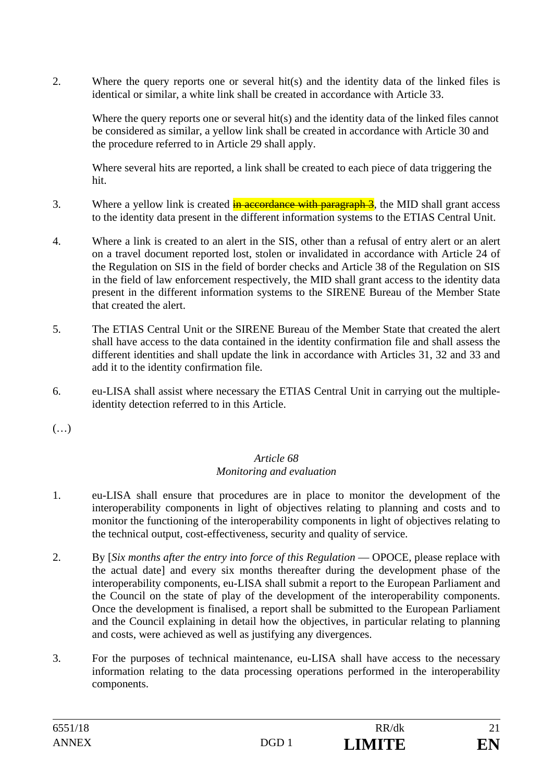2. Where the query reports one or several hit(s) and the identity data of the linked files is identical or similar, a white link shall be created in accordance with Article 33.

Where the query reports one or several hit(s) and the identity data of the linked files cannot be considered as similar, a yellow link shall be created in accordance with Article 30 and the procedure referred to in Article 29 shall apply.

Where several hits are reported, a link shall be created to each piece of data triggering the hit.

- 3. Where a yellow link is created  $\frac{1}{2}$  in accordance with paragraph 3, the MID shall grant access to the identity data present in the different information systems to the ETIAS Central Unit.
- 4. Where a link is created to an alert in the SIS, other than a refusal of entry alert or an alert on a travel document reported lost, stolen or invalidated in accordance with Article 24 of the Regulation on SIS in the field of border checks and Article 38 of the Regulation on SIS in the field of law enforcement respectively, the MID shall grant access to the identity data present in the different information systems to the SIRENE Bureau of the Member State that created the alert.
- 5. The ETIAS Central Unit or the SIRENE Bureau of the Member State that created the alert shall have access to the data contained in the identity confirmation file and shall assess the different identities and shall update the link in accordance with Articles 31, 32 and 33 and add it to the identity confirmation file.
- 6. eu-LISA shall assist where necessary the ETIAS Central Unit in carrying out the multipleidentity detection referred to in this Article.

(…)

#### *Article 68 Monitoring and evaluation*

- 1. eu-LISA shall ensure that procedures are in place to monitor the development of the interoperability components in light of objectives relating to planning and costs and to monitor the functioning of the interoperability components in light of objectives relating to the technical output, cost-effectiveness, security and quality of service.
- 2. By [*Six months after the entry into force of this Regulation* OPOCE, please replace with the actual date] and every six months thereafter during the development phase of the interoperability components, eu-LISA shall submit a report to the European Parliament and the Council on the state of play of the development of the interoperability components. Once the development is finalised, a report shall be submitted to the European Parliament and the Council explaining in detail how the objectives, in particular relating to planning and costs, were achieved as well as justifying any divergences.
- 3. For the purposes of technical maintenance, eu-LISA shall have access to the necessary information relating to the data processing operations performed in the interoperability components.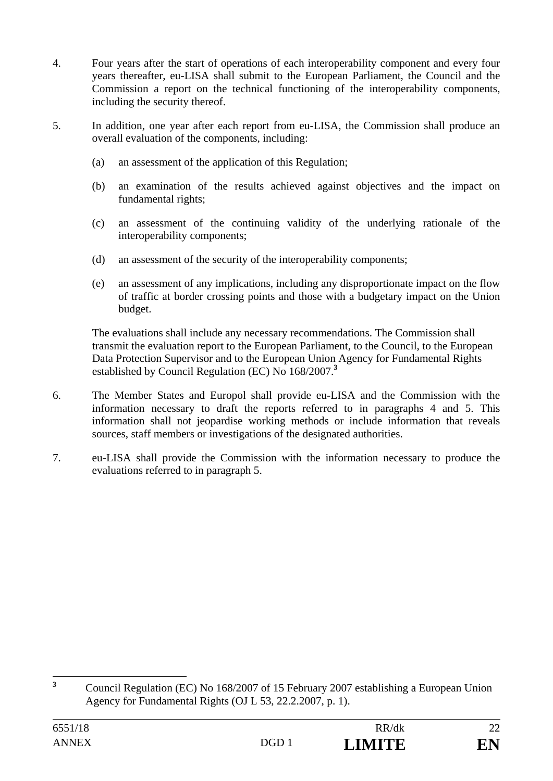- 4. Four years after the start of operations of each interoperability component and every four years thereafter, eu-LISA shall submit to the European Parliament, the Council and the Commission a report on the technical functioning of the interoperability components, including the security thereof.
- 5. In addition, one year after each report from eu-LISA, the Commission shall produce an overall evaluation of the components, including:
	- (a) an assessment of the application of this Regulation;
	- (b) an examination of the results achieved against objectives and the impact on fundamental rights;
	- (c) an assessment of the continuing validity of the underlying rationale of the interoperability components;
	- (d) an assessment of the security of the interoperability components;
	- (e) an assessment of any implications, including any disproportionate impact on the flow of traffic at border crossing points and those with a budgetary impact on the Union budget.

The evaluations shall include any necessary recommendations. The Commission shall transmit the evaluation report to the European Parliament, to the Council, to the European Data Protection Supervisor and to the European Union Agency for Fundamental Rights established by Council Regulation (EC) No 168/2007.**<sup>3</sup>**

- 6. The Member States and Europol shall provide eu-LISA and the Commission with the information necessary to draft the reports referred to in paragraphs 4 and 5. This information shall not jeopardise working methods or include information that reveals sources, staff members or investigations of the designated authorities.
- 7. eu-LISA shall provide the Commission with the information necessary to produce the evaluations referred to in paragraph 5.

 **3** Council Regulation (EC) No 168/2007 of 15 February 2007 establishing a European Union Agency for Fundamental Rights (OJ L 53, 22.2.2007, p. 1).